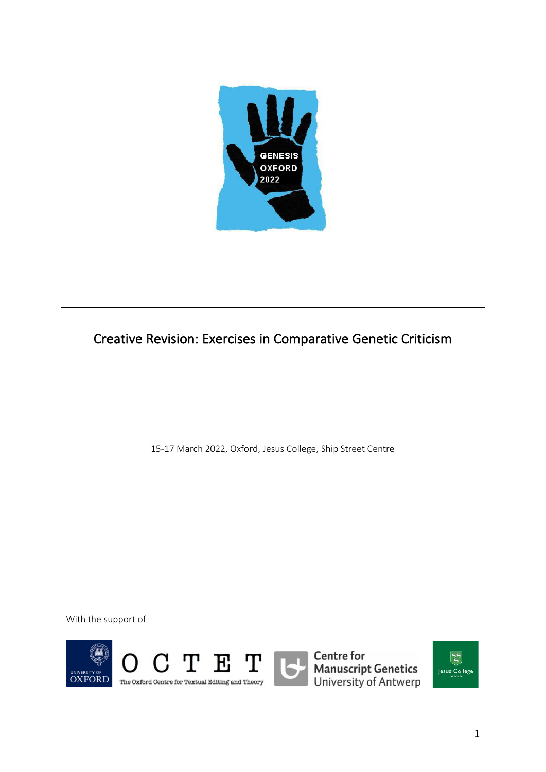

Creative Revision: Exercises in Comparative Genetic Criticism

15-17 March 2022, Oxford, Jesus College, Ship Street Centre

With the support of



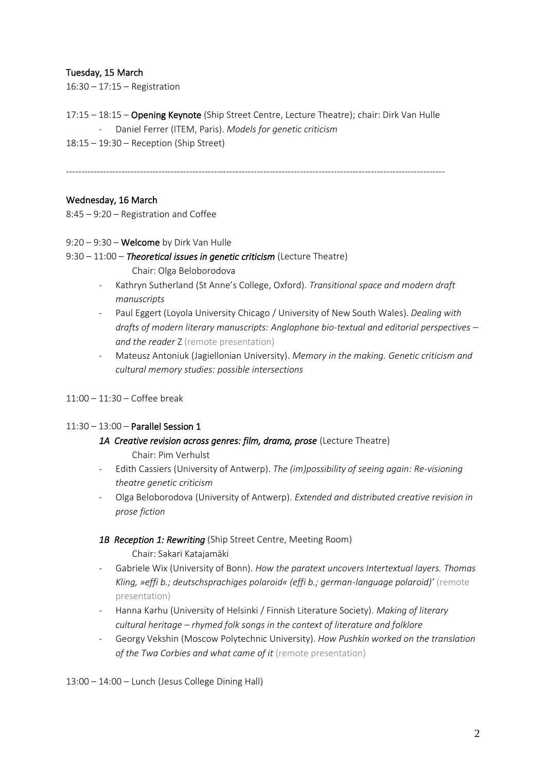## Tuesday, 15 March

16:30 – 17:15 – Registration

- 17:15 18:15 Opening Keynote (Ship Street Centre, Lecture Theatre); chair: Dirk Van Hulle - Daniel Ferrer (ITEM, Paris). *Models for genetic criticism*
- 18:15 19:30 Reception (Ship Street)

---------------------------------------------------------------------------------------------------------------------------

#### Wednesday, 16 March

8:45 – 9:20 – Registration and Coffee

- 9:20 9:30 Welcome by Dirk Van Hulle
- 9:30 11:00 *Theoretical issues in genetic criticism* (Lecture Theatre)
	- Chair: Olga Beloborodova
	- Kathryn Sutherland (St Anne's College, Oxford). *Transitional space and modern draft manuscripts*
	- Paul Eggert (Loyola University Chicago / University of New South Wales). *Dealing with drafts of modern literary manuscripts: Anglophone bio-textual and editorial perspectives – and the reader* Z (remote presentation)
	- Mateusz Antoniuk (Jagiellonian University). *Memory in the making. Genetic criticism and cultural memory studies: possible intersections*
- 11:00 11:30 Coffee break

#### 11:30 – 13:00 – Parallel Session 1

- *1A Creative revision across genres: film, drama, prose* (Lecture Theatre) Chair: Pim Verhulst
- Edith Cassiers (University of Antwerp). *The (im)possibility of seeing again: Re-visioning theatre genetic criticism*
- Olga Beloborodova (University of Antwerp). *Extended and distributed creative revision in prose fiction*

#### *1B Reception 1: Rewriting* (Ship Street Centre, Meeting Room) Chair: Sakari Katajamäki

- Gabriele Wix (University of Bonn). *How the paratext uncovers Intertextual layers. Thomas Kling, »effi b.; deutschsprachiges polaroid« (effi b.; german-language polaroid)'* (remote presentation)
- Hanna Karhu (University of Helsinki / Finnish Literature Society). *Making of literary cultural heritage ‒ rhymed folk songs in the context of literature and folklore*
- Georgy Vekshin (Moscow Polytechnic University). *How Pushkin worked on the translation of the Twa Corbies and what came of it* (remote presentation)

13:00 – 14:00 – Lunch (Jesus College Dining Hall)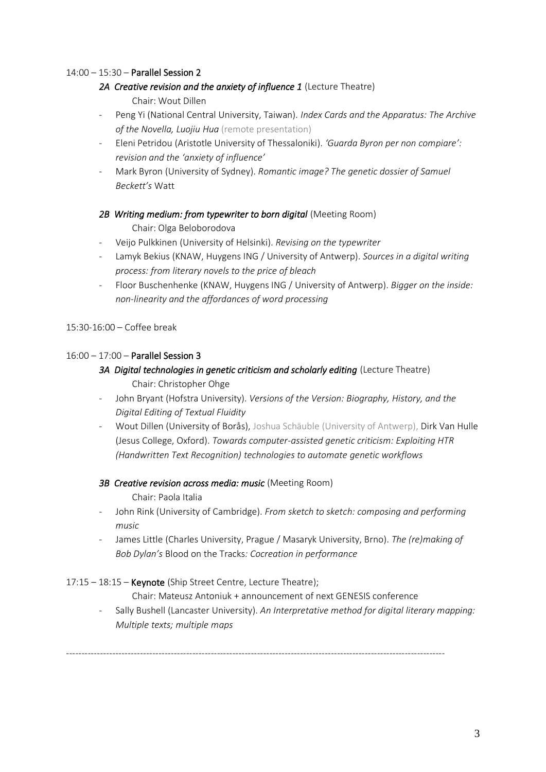## 14:00 – 15:30 – Parallel Session 2

- *2A Creative revision and the anxiety of influence 1* (Lecture Theatre) Chair: Wout Dillen
- Peng Yi (National Central University, Taiwan). *Index Cards and the Apparatus: The Archive of the Novella, Luojiu Hua* (remote presentation)
- Eleni Petridou (Aristotle University of Thessaloniki). *'Guarda Byron per non compiare': revision and the 'anxiety of influence'*
- Mark Byron (University of Sydney). *Romantic image? The genetic dossier of Samuel Beckett's* Watt

#### 2B Writing medium: from typewriter to born digital (Meeting Room)

Chair: Olga Beloborodova

- Veijo Pulkkinen (University of Helsinki). *Revising on the typewriter*
- Lamyk Bekius (KNAW, Huygens ING / University of Antwerp). *Sources in a digital writing process: from literary novels to the price of bleach*
- Floor Buschenhenke (KNAW, Huygens ING / University of Antwerp). *Bigger on the inside: non-linearity and the affordances of word processing*

#### 15:30-16:00 – Coffee break

#### 16:00 – 17:00 – Parallel Session 3

# *3A Digital technologies in genetic criticism and scholarly editing* (Lecture Theatre)

- Chair: Christopher Ohge
- John Bryant (Hofstra University). *Versions of the Version: Biography, History, and the Digital Editing of Textual Fluidity*
- Wout Dillen (University of Borås), Joshua Schäuble (University of Antwerp), Dirk Van Hulle (Jesus College, Oxford). *Towards computer-assisted genetic criticism: Exploiting HTR (Handwritten Text Recognition) technologies to automate genetic workflows*

#### *3B Creative revision across media: music* (Meeting Room)

- Chair: Paola Italia
- John Rink (University of Cambridge). *From sketch to sketch: composing and performing music*
- James Little (Charles University, Prague / Masaryk University, Brno). *The (re)making of Bob Dylan's* Blood on the Tracks*: Cocreation in performance*

#### 17:15 – 18:15 – Keynote (Ship Street Centre, Lecture Theatre);

Chair: Mateusz Antoniuk + announcement of next GENESIS conference

---------------------------------------------------------------------------------------------------------------------------

- Sally Bushell (Lancaster University). *An Interpretative method for digital literary mapping: Multiple texts; multiple maps*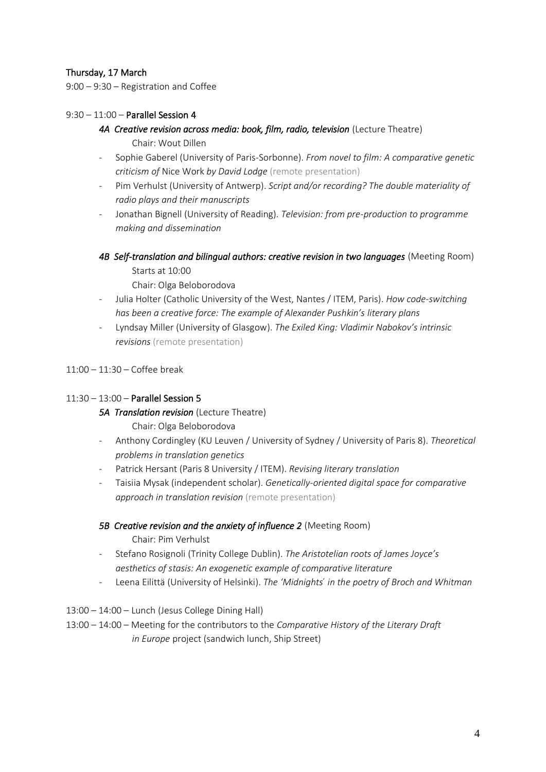# Thursday, 17 March

9:00 – 9:30 – Registration and Coffee

## 9:30 – 11:00 – Parallel Session 4

- 4A Creative revision across media: book, film, radio, television (Lecture Theatre)
	- Chair: Wout Dillen
- Sophie Gaberel (University of Paris-Sorbonne). *From novel to film: A comparative genetic criticism of* Nice Work *by David Lodge* (remote presentation)
- Pim Verhulst (University of Antwerp). *Script and/or recording? The double materiality of radio plays and their manuscripts*
- Jonathan Bignell (University of Reading). *Television: from pre-production to programme making and dissemination*
- 4B Self-translation and bilingual authors: creative revision in two languages (Meeting Room)
	- Starts at 10:00
	- Chair: Olga Beloborodova
- Julia Holter (Catholic University of the West, Nantes / ITEM, Paris). *How code-switching has been a creative force: The example of Alexander Pushkin's literary plans*
- Lyndsay Miller (University of Glasgow). *The Exiled King: Vladimir Nabokov's intrinsic revisions* (remote presentation)
- 11:00 11:30 Coffee break

#### 11:30 – 13:00 – Parallel Session 5

#### **5A Translation revision** (Lecture Theatre)

Chair: Olga Beloborodova

- Anthony Cordingley (KU Leuven / University of Sydney / University of Paris 8). *Theoretical problems in translation genetics*
- Patrick Hersant (Paris 8 University / ITEM). *Revising literary translation*
- Taisiia Mysak (independent scholar). *Genetically-oriented digital space for comparative approach in translation revision* (remote presentation)

#### **5B Creative revision and the anxiety of influence 2** (Meeting Room)

Chair: Pim Verhulst

- Stefano Rosignoli (Trinity College Dublin). *The Aristotelian roots of James Joyce's aesthetics of stasis: An exogenetic example of comparative literature*
- Leena Eilittä (University of Helsinki). *The 'Midnights ́in the poetry of Broch and Whitman*
- 13:00 14:00 Lunch (Jesus College Dining Hall)
- 13:00 14:00 Meeting for the contributors to the *Comparative History of the Literary Draft in Europe* project (sandwich lunch, Ship Street)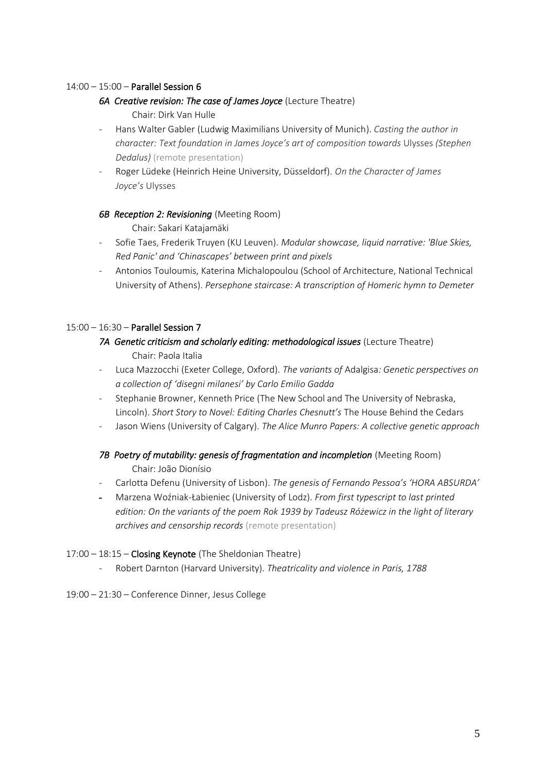## 14:00 – 15:00 – Parallel Session 6

## *6A Creative revision: The case of James Joyce* (Lecture Theatre)

Chair: Dirk Van Hulle

- Hans Walter Gabler (Ludwig Maximilians University of Munich). *Casting the author in character: Text foundation in James Joyce's art of composition towards* Ulysses *(Stephen Dedalus)* (remote presentation)
- Roger Lüdeke (Heinrich Heine University, Düsseldorf). *On the Character of James Joyce's* Ulysses

#### **6B Reception 2: Revisioning (Meeting Room)**

Chair: Sakari Katajamäki

- Sofie Taes, Frederik Truyen (KU Leuven). *Modular showcase, liquid narrative: 'Blue Skies, Red Panic' and 'Chinascapes' between print and pixels*
- Antonios Touloumis, Katerina Michalopoulou (School of Architecture, National Technical University of Athens). *Persephone staircase: A transcription of Homeric hymn to Demeter*

## 15:00 – 16:30 – Parallel Session 7

- Luca Mazzocchi (Exeter College, Oxford). *The variants of* Adalgisa*: Genetic perspectives on a collection of 'disegni milanesi' by Carlo Emilio Gadda*
- Stephanie Browner, Kenneth Price (The New School and The University of Nebraska, Lincoln). *Short Story to Novel: Editing Charles Chesnutt's* The House Behind the Cedars
- Jason Wiens (University of Calgary). *The Alice Munro Papers: A collective genetic approach*

# 7B Poetry of mutability: genesis of fragmentation and incompletion (Meeting Room) Chair: João Dionísio

- Carlotta Defenu (University of Lisbon). *The genesis of Fernando Pessoa's 'HORA ABSURDA'*
- Marzena Woźniak-Łabieniec (University of Lodz). *From first typescript to last printed edition: On the variants of the poem Rok 1939 by Tadeusz Różewicz in the light of literary archives and censorship records* (remote presentation)

# 17:00 – 18:15 – Closing Keynote (The Sheldonian Theatre)

- Robert Darnton (Harvard University). *Theatricality and violence in Paris, 1788*
- 19:00 21:30 Conference Dinner, Jesus College

<sup>7</sup>A Genetic criticism and scholarly editing: methodological issues (Lecture Theatre) Chair: Paola Italia